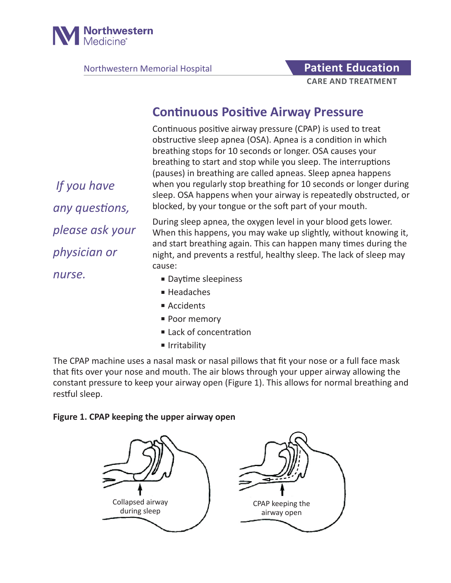

Northwestern Memorial Hospital **Patient Education** 

# **CARE AND TREATMENT**

## **Continuous Positive Airway Pressure**

Continuous positive airway pressure (CPAP) is used to treat obstructive sleep apnea (OSA). Apnea is a condition in which breathing stops for 10 seconds or longer. OSA causes your breathing to start and stop while you sleep. The interruptions (pauses) in breathing are called apneas. Sleep apnea happens when you regularly stop breathing for 10 seconds or longer during sleep. OSA happens when your airway is repeatedly obstructed, or blocked, by your tongue or the soft part of your mouth.

During sleep apnea, the oxygen level in your blood gets lower. When this happens, you may wake up slightly, without knowing it, and start breathing again. This can happen many times during the night, and prevents a restful, healthy sleep. The lack of sleep may cause:

- Daytime sleepiness
- Headaches
- Accidents
- Poor memory
- Lack of concentration
- Irritability

The CPAP machine uses a nasal mask or nasal pillows that fit your nose or a full face mask that fits over your nose and mouth. The air blows through your upper airway allowing the constant pressure to keep your airway open (Figure 1). This allows for normal breathing and restful sleep.

#### **Figure 1. CPAP keeping the upper airway open**



 *If you have any questions, please ask your physician or nurse.*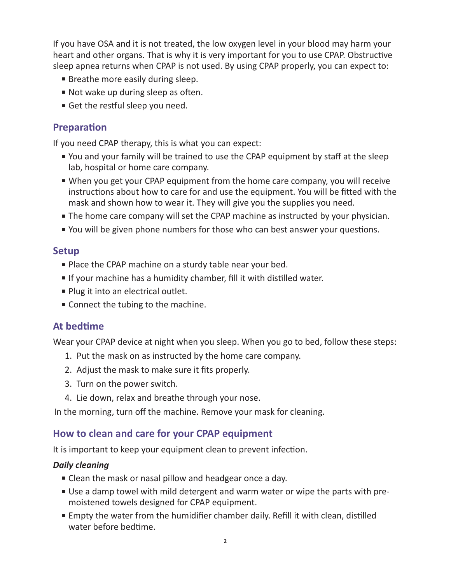If you have OSA and it is not treated, the low oxygen level in your blood may harm your heart and other organs. That is why it is very important for you to use CPAP. Obstructive sleep apnea returns when CPAP is not used. By using CPAP properly, you can expect to:

- Breathe more easily during sleep.
- Not wake up during sleep as often.
- Get the restful sleep you need.

#### **Preparation**

If you need CPAP therapy, this is what you can expect:

- You and your family will be trained to use the CPAP equipment by staff at the sleep lab, hospital or home care company.
- When you get your CPAP equipment from the home care company, you will receive instructions about how to care for and use the equipment. You will be fitted with the mask and shown how to wear it. They will give you the supplies you need.
- The home care company will set the CPAP machine as instructed by your physician.
- You will be given phone numbers for those who can best answer your questions.

#### **Setup**

- Place the CPAP machine on a sturdy table near your bed.
- If your machine has a humidity chamber, fill it with distilled water.
- Plug it into an electrical outlet.
- Connect the tubing to the machine.

### **At bedtime**

Wear your CPAP device at night when you sleep. When you go to bed, follow these steps:

- 1. Put the mask on as instructed by the home care company.
- 2. Adjust the mask to make sure it fits properly.
- 3. Turn on the power switch.
- 4. Lie down, relax and breathe through your nose.

In the morning, turn off the machine. Remove your mask for cleaning.

#### **How to clean and care for your CPAP equipment**

It is important to keep your equipment clean to prevent infection.

#### *Daily cleaning*

- Clean the mask or nasal pillow and headgear once a day.
- Use a damp towel with mild detergent and warm water or wipe the parts with premoistened towels designed for CPAP equipment.
- Empty the water from the humidifier chamber daily. Refill it with clean, distilled water before bedtime.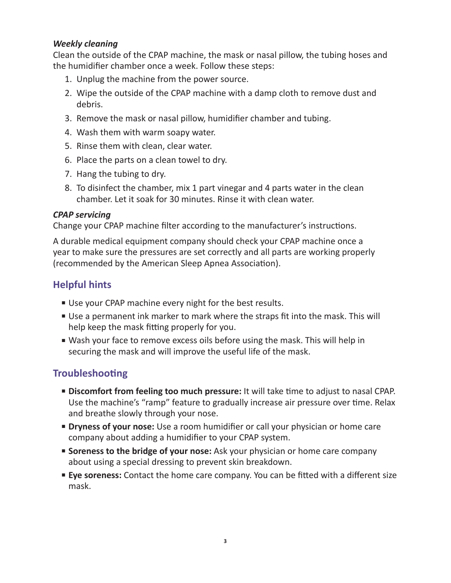#### *Weekly cleaning*

Clean the outside of the CPAP machine, the mask or nasal pillow, the tubing hoses and the humidifier chamber once a week. Follow these steps:

- 1. Unplug the machine from the power source.
- 2. Wipe the outside of the CPAP machine with a damp cloth to remove dust and debris.
- 3. Remove the mask or nasal pillow, humidifier chamber and tubing.
- 4. Wash them with warm soapy water.
- 5. Rinse them with clean, clear water.
- 6. Place the parts on a clean towel to dry.
- 7. Hang the tubing to dry.
- 8. To disinfect the chamber, mix 1 part vinegar and 4 parts water in the clean chamber. Let it soak for 30 minutes. Rinse it with clean water.

#### *CPAP servicing*

Change your CPAP machine filter according to the manufacturer's instructions.

A durable medical equipment company should check your CPAP machine once a year to make sure the pressures are set correctly and all parts are working properly (recommended by the American Sleep Apnea Association).

## **Helpful hints**

- Use your CPAP machine every night for the best results.
- Use a permanent ink marker to mark where the straps fit into the mask. This will help keep the mask fitting properly for you.
- Wash your face to remove excess oils before using the mask. This will help in securing the mask and will improve the useful life of the mask.

## **Troubleshooting**

- **Discomfort from feeling too much pressure:** It will take time to adjust to nasal CPAP. Use the machine's "ramp" feature to gradually increase air pressure over time. Relax and breathe slowly through your nose.
- **Dryness of your nose:** Use a room humidifier or call your physician or home care company about adding a humidifier to your CPAP system.
- **Soreness to the bridge of your nose:** Ask your physician or home care company about using a special dressing to prevent skin breakdown.
- **Eye soreness:** Contact the home care company. You can be fitted with a different size mask.